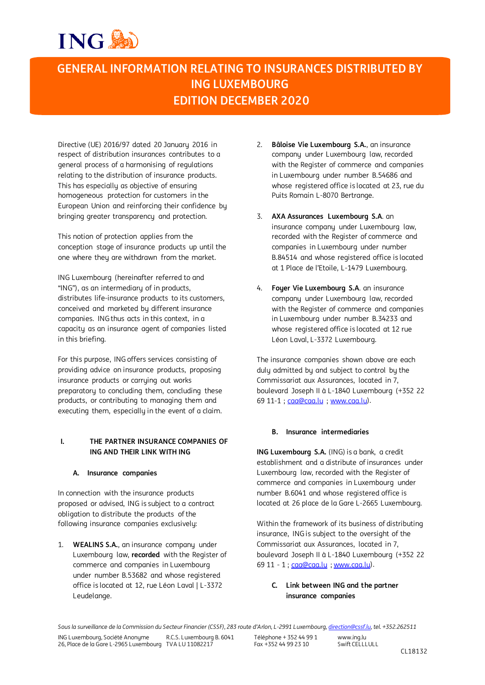# ING S

# **GENERAL INFORMATION RELATING TO INSURANCES DISTRIBUTED BY ING LUXEMBOURG EDITION DECEMBER 2020**

Directive (UE) 2016/97 dated 20 January 2016 in respect of distribution insurances contributes to a general process of a harmonising of regulations relating to the distribution of insurance products. This has especially as objective of ensuring homogeneous protection for customers in the European Union and reinforcing their confidence by bringing greater transparency and protection.

This notion of protection applies from the conception stage of insurance products up until the one where they are withdrawn from the market.

ING Luxembourg (hereinafter referred to and "ING"), as an intermediary of in products, distributes life-insurance products to its customers, conceived and marketed by different insurance companies. ING thus acts in this context, in a capacity as an insurance agent of companies listed in this briefing.

For this purpose, ING offers services consisting of providing advice on insurance products, proposing insurance products or carrying out works preparatory to concluding them, concluding these products, or contributing to managing them and executing them, especially in the event of a claim.

# **I. THE PARTNER INSURANCE COMPANIES OF ING AND THEIR LINK WITH ING**

# **A. Insurance companies**

In connection with the insurance products proposed or advised, ING is subject to a contract obligation to distribute the products of the following insurance companies exclusively:

1. **WEALINS S.A.**, an insurance company under Luxembourg law, **recorded** with the Register of commerce and companies in Luxembourg under number B.53682 and whose registered office is located at 12, rue Léon Laval | L-3372 Leudelange.

- 2. **Bâloise Vie Luxembourg S.A.**, an insurance company under Luxembourg law, recorded with the Register of commerce and companies in Luxembourg under number B.54686 and whose registered office is located at 23, rue du Puits Romain L-8070 Bertrange.
- 3. **AXA Assurances Luxembourg S.A**. an insurance company under Luxembourg law, recorded with the Register of commerce and companies in Luxembourg under number B.84514 and whose registered office is located at 1 Place de l'Etoile, L-1479 Luxembourg.
- 4. **Foyer Vie Luxembourg S.A**. an insurance company under Luxembourg law, recorded with the Register of commerce and companies in Luxembourg under number B.34233 and whose registered office is located at 12 rue Léon Laval, L-3372 Luxembourg.

The insurance companies shown above are each duly admitted by and subject to control by the Commissariat aux Assurances, located in 7, boulevard Joseph II à L-1840 Luxembourg (+352 22 69 11-1 ; caa@caa.lu ; www.caa.lu).

# **B. Insurance intermediaries**

**ING Luxembourg S.A.** (ING) is a bank, a credit establishment and a distribute of insurances under Luxembourg law, recorded with the Register of commerce and companies in Luxembourg under number B.6041 and whose registered office is located at 26 place de la Gare L-2665 Luxembourg.

Within the framework of its business of distributing insurance, ING is subject to the oversight of the Commissariat aux Assurances, located in 7, boulevard Joseph II à L-1840 Luxembourg (+352 22 69 11 - 1 ; caa@caa.lu ; www.caa.lu).

# **C. Link between ING and the partner insurance companies**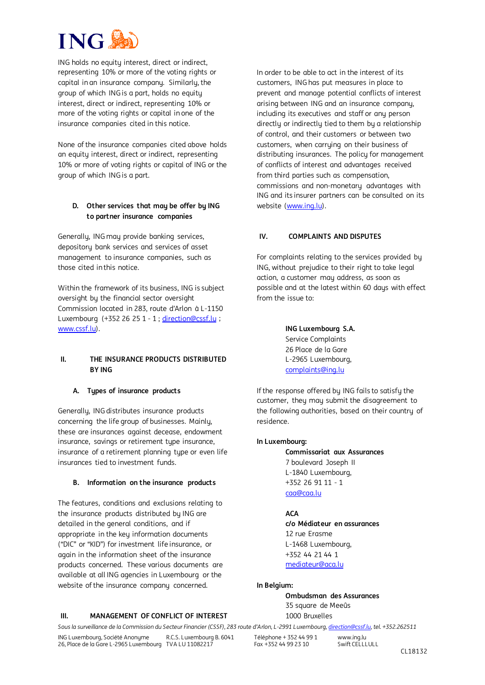# **ING**

ING holds no equity interest, direct or indirect, representing 10% or more of the voting rights or capital in an insurance company. Similarly, the group of which ING is a part, holds no equity interest, direct or indirect, representing 10% or more of the voting rights or capital in one of the insurance companies cited in this notice.

None of the insurance companies cited above holds an equity interest, direct or indirect, representing 10% or more of voting rights or capital of ING or the group of which ING is a part.

### **D. Other services that may be offer by ING to partner insurance companies**

Generally, ING may provide banking services, depository bank services and services of asset management to insurance companies, such as those cited in this notice.

Within the framework of its business, ING is subject oversight by the financial sector oversight Commission located in 283, route d'Arlon à L-1150 Luxembourg (+352 26 25 1 - 1 ; direction@cssf.lu ; www.cssf.lu).

#### **II. THE INSURANCE PRODUCTS DISTRIBUTED BY ING**

#### **A. Types of insurance products**

Generally, ING distributes insurance products concerning the life group of businesses. Mainly, these are insurances against decease, endowment insurance, savings or retirement type insurance, insurance of a retirement planning type or even life insurances tied to investment funds.

#### **B. Information on the insurance products**

The features, conditions and exclusions relating to the insurance products distributed by ING are detailed in the general conditions, and if appropriate in the key information documents ("DIC" or "KID") for investment life insurance, or again in the information sheet of the insurance products concerned. These various documents are available at all ING agencies in Luxembourg or the website of the insurance company concerned.

#### **III. MANAGEMENT OF CONFLICT OF INTEREST**

In order to be able to act in the interest of its customers, ING has put measures in place to prevent and manage potential conflicts of interest arising between ING and an insurance company, including its executives and staff or any person directly or indirectly tied to them by a relationship of control, and their customers or between two customers, when carruing on their business of distributing insurances. The policy for management of conflicts of interest and advantages received from third parties such as compensation, commissions and non-monetary advantages with ING and its insurer partners can be consulted on its website [\(www.ing.lu\).](http://www.ing.lu/)

### **IV. COMPLAINTS AND DISPUTES**

For complaints relating to the services provided by ING, without prejudice to their right to take legal action, a customer may address, as soon as possible and at the latest within 60 days with effect from the issue to:

#### **ING Luxembourg S.A.** Service Complaints 26 Place de la Gare L-2965 Luxembourg, complaints@ing.lu

If the response offered by ING fails to satisfy the customer, they may submit the disagreement to the following authorities, based on their country of residence.

#### **In Luxembourg:**

**Commissariat aux Assurances** 7 boulevard Joseph II L-1840 Luxembourg, +352 26 91 11 - 1 caa@caa.lu

**ACA c/o Médiateur en assurances** 12 rue Erasme L-1468 Luxembourg, +352 44 21 44 1 mediateur@aca.lu

#### **In Belgium:**

**Ombudsman des Assurances** 35 square de Meeûs 1000 Bruxelles

*Sous la surveillance de la Commission du Secteur Financier (CSSF)*, *283 route d'Arlon, L-2991 Luxembourg, direction@cssf.lu, tel. +352.262511* ING Luxembourg, Société Anonyme R.C.S. Luxembourg B. 6041 www.ing.lu

Téléphone + 352 44 99 1 Fax +352 44 99 23 10 Swift CELLLULL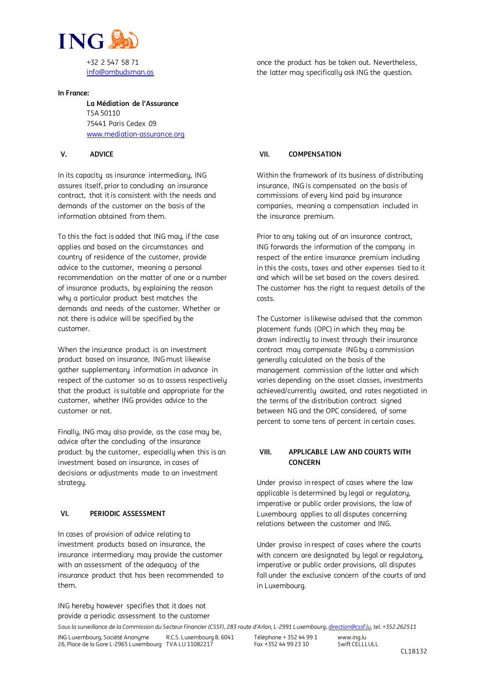

info@ombudsman.as

#### **In France:**

**La Médiation de l'Assurance** TSA 50110 75441 Paris Cedex 09 www.mediation-assurance.org

#### **V. ADVICE**

In its capacity as insurance intermediary, ING assures itself, prior to concluding an insurance contract, that it is consistent with the needs and demands of the customer on the basis of the information obtained from them.

To this the fact is added that ING may, if the case applies and based on the circumstances and country of residence of the customer, provide advice to the customer, meaning a personal recommendation on the matter of one or a number of insurance products, by explaining the reason why a particular product best matches the demands and needs of the customer. Whether or not there is advice will be specified by the customer.

When the insurance product is an investment product based on insurance, ING must likewise gather supplementary information in advance in respect of the customer so as to assess respectively that the product is suitable and appropriate for the customer, whether ING provides advice to the customer or not.

Finally, ING may also provide, as the case may be, advice after the concluding of the insurance product by the customer, especially when this is an investment based on insurance, in cases of decisions or adjustments made to an investment strategy.

#### **VI. PERIODIC ASSESSMENT**

In cases of provision of advice relating to investment products based on insurance, the insurance intermediary may provide the customer with an assessment of the adequacy of the insurance product that has been recommended to them.

once the product has be taken out. Nevertheless, the latter may specifically ask ING the question.

#### **VII. COMPENSATION**

Within the framework of its business of distributing insurance, ING is compensated on the basis of commissions of every kind paid by insurance companies, meaning a compensation included in the insurance premium.

Prior to any taking out of an insurance contract, ING forwards the information of the company in respect of the entire insurance premium including in this the costs, taxes and other expenses tied to it and which will be set based on the covers desired. The customer has the right to request details of the costs.

The Customer is likewise advised that the common placement funds (OPC) in which they may be drawn indirectly to invest through their insurance contract may compensate ING by a commission generally calculated on the basis of the management commission of the latter and which varies depending on the asset classes, investments achieved/currently awaited, and rates negotiated in the terms of the distribution contract signed between NG and the OPC considered, of some percent to some tens of percent in certain cases.

#### **VIII. APPLICABLE LAW AND COURTS WITH CONCERN**

Under proviso in respect of cases where the law applicable is determined by legal or regulatory, imperative or public order provisions, the law of Luxembourg applies to all disputes concerning relations between the customer and ING.

Under proviso in respect of cases where the courts with concern are designated by legal or regulatory, imperative or public order provisions, all disputes fall under the exclusive concern of the courts of and in Luxembourg.

*Sous la surveillance de la Commission du Secteur Financier (CSSF)*, *283 route d'Arlon, L-2991 Luxembourg, direction@cssf.lu, tel. +352.262511* R.C.S. Luxembourg B. 6041 www.ing.lu provide a periodic assessment to the customer

ING hereby however specifies that it does not

Téléphone + 352 44 99 1 Fax +352 44 99 23 10